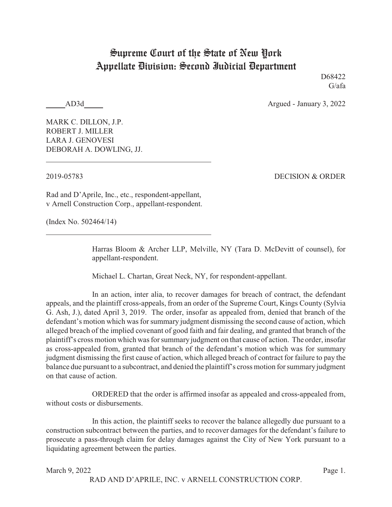## Supreme Court of the State of New York Appellate Division: Second Judicial Department

D<sub>68422</sub> G/afa

AD3d Argued - January 3, 2022

MARK C. DILLON, J.P. ROBERT J. MILLER LARA J. GENOVESI DEBORAH A. DOWLING, JJ.

2019-05783 DECISION & ORDER

Rad and D'Aprile, Inc., etc., respondent-appellant, v Arnell Construction Corp., appellant-respondent.

(Index No. 502464/14)

Harras Bloom & Archer LLP, Melville, NY (Tara D. McDevitt of counsel), for appellant-respondent.

Michael L. Chartan, Great Neck, NY, for respondent-appellant.

In an action, inter alia, to recover damages for breach of contract, the defendant appeals, and the plaintiff cross-appeals, from an order of the Supreme Court, Kings County (Sylvia G. Ash, J.), dated April 3, 2019. The order, insofar as appealed from, denied that branch of the defendant's motion which was for summary judgment dismissing the second cause of action, which alleged breach of the implied covenant of good faith and fair dealing, and granted that branch of the plaintiff's cross motion which was for summary judgment on that cause of action. The order, insofar as cross-appealed from, granted that branch of the defendant's motion which was for summary judgment dismissing the first cause of action, which alleged breach of contract for failure to pay the balance due pursuant to a subcontract, and denied the plaintiff's cross motion for summary judgment on that cause of action.

ORDERED that the order is affirmed insofar as appealed and cross-appealed from, without costs or disbursements.

In this action, the plaintiff seeks to recover the balance allegedly due pursuant to a construction subcontract between the parties, and to recover damages for the defendant's failure to prosecute a pass-through claim for delay damages against the City of New York pursuant to a liquidating agreement between the parties.

March 9, 2022 Page 1.

RAD AND D'APRILE, INC. v ARNELL CONSTRUCTION CORP.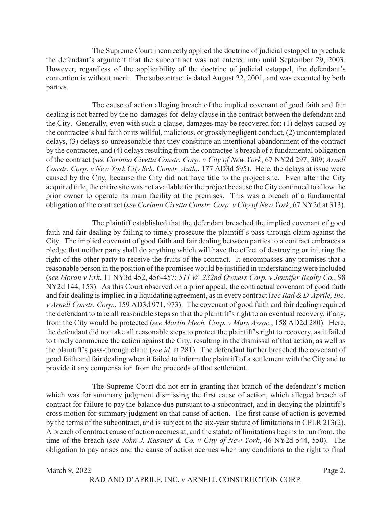The Supreme Court incorrectly applied the doctrine of judicial estoppel to preclude the defendant's argument that the subcontract was not entered into until September 29, 2003. However, regardless of the applicability of the doctrine of judicial estoppel, the defendant's contention is without merit. The subcontract is dated August 22, 2001, and was executed by both parties.

The cause of action alleging breach of the implied covenant of good faith and fair dealing is not barred by the no-damages-for-delay clause in the contract between the defendant and the City. Generally, even with such a clause, damages may be recovered for: (1) delays caused by the contractee's bad faith or its willful, malicious, or grossly negligent conduct, (2) uncontemplated delays, (3) delays so unreasonable that they constitute an intentional abandonment of the contract by the contractee, and (4) delays resulting from the contractee's breach of a fundamental obligation of the contract (*see Corinno Civetta Constr. Corp. v City of New York*, 67 NY2d 297, 309; *Arnell Constr. Corp. v New York City Sch. Constr. Auth.*, 177 AD3d 595). Here, the delays at issue were caused by the City, because the City did not have title to the project site. Even after the City acquired title, the entire site was not available for the project because the City continued to allow the prior owner to operate its main facility at the premises. This was a breach of a fundamental obligation of the contract (*see Corinno Civetta Constr. Corp. v City of New York*, 67 NY2d at 313).

The plaintiff established that the defendant breached the implied covenant of good faith and fair dealing by failing to timely prosecute the plaintiff's pass-through claim against the City. The implied covenant of good faith and fair dealing between parties to a contract embraces a pledge that neither party shall do anything which will have the effect of destroying or injuring the right of the other party to receive the fruits of the contract. It encompasses any promises that a reasonable person in the position of the promisee would be justified in understanding were included (*see Moran v Erk*, 11 NY3d 452, 456-457; *511 W. 232nd Owners Corp. v Jennifer Realty Co.*, 98 NY2d 144, 153). As this Court observed on a prior appeal, the contractual covenant of good faith and fair dealing is implied in a liquidating agreement, as in every contract (*see Rad &D'Aprile, Inc. v Arnell Constr. Corp.*, 159 AD3d 971, 973). The covenant of good faith and fair dealing required the defendant to take all reasonable steps so that the plaintiff's right to an eventual recovery, if any, from the City would be protected (*see Martin Mech. Corp. v Mars Assoc.*, 158 AD2d 280). Here, the defendant did not take all reasonable steps to protect the plaintiff's right to recovery, as it failed to timely commence the action against the City, resulting in the dismissal of that action, as well as the plaintiff's pass-through claim (*see id*. at 281). The defendant further breached the covenant of good faith and fair dealing when it failed to inform the plaintiff of a settlement with the City and to provide it any compensation from the proceeds of that settlement.

The Supreme Court did not err in granting that branch of the defendant's motion which was for summary judgment dismissing the first cause of action, which alleged breach of contract for failure to pay the balance due pursuant to a subcontract, and in denying the plaintiff's cross motion for summary judgment on that cause of action. The first cause of action is governed by the terms of the subcontract, and is subject to the six-year statute of limitations in CPLR 213(2). A breach of contract cause of action accrues at, and the statute of limitations begins to run from, the time of the breach (*see John J. Kassner & Co. v City of New York*, 46 NY2d 544, 550). The obligation to pay arises and the cause of action accrues when any conditions to the right to final

## March 9, 2022 Page 2.

RAD AND D'APRILE, INC. v ARNELL CONSTRUCTION CORP.